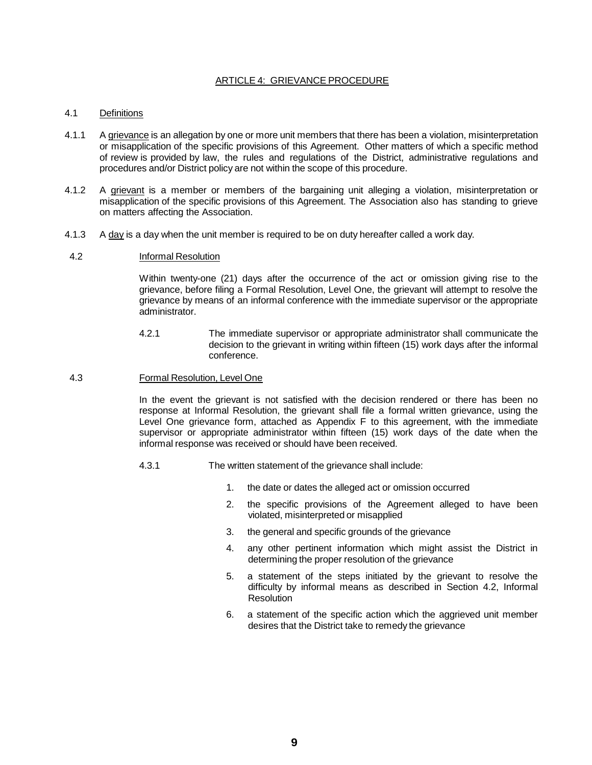# ARTICLE 4: GRIEVANCE PROCEDURE

# 4.1 Definitions

- 4.1.1 A grievance is an allegation by one or more unit members that there has been a violation, misinterpretation or misapplication of the specific provisions of this Agreement. Other matters of which a specific method of review is provided by law, the rules and regulations of the District, administrative regulations and procedures and/or District policy are not within the scope of this procedure.
- 4.1.2 A grievant is a member or members of the bargaining unit alleging a violation, misinterpretation or misapplication of the specific provisions of this Agreement. The Association also has standing to grieve on matters affecting the Association.
- 4.1.3 A day is a day when the unit member is required to be on duty hereafter called a work day.
- 4.2 Informal Resolution

Within twenty-one (21) days after the occurrence of the act or omission giving rise to the grievance, before filing a Formal Resolution, Level One, the grievant will attempt to resolve the grievance by means of an informal conference with the immediate supervisor or the appropriate administrator.

- 4.2.1 The immediate supervisor or appropriate administrator shall communicate the decision to the grievant in writing within fifteen (15) work days after the informal conference.
- 4.3 Formal Resolution, Level One

In the event the grievant is not satisfied with the decision rendered or there has been no response at Informal Resolution, the grievant shall file a formal written grievance, using the Level One grievance form, attached as Appendix F to this agreement, with the immediate supervisor or appropriate administrator within fifteen (15) work days of the date when the informal response was received or should have been received.

- 4.3.1 The written statement of the grievance shall include:
	- 1. the date or dates the alleged act or omission occurred
	- 2. the specific provisions of the Agreement alleged to have been violated, misinterpreted or misapplied
	- 3. the general and specific grounds of the grievance
	- 4. any other pertinent information which might assist the District in determining the proper resolution of the grievance
	- 5. a statement of the steps initiated by the grievant to resolve the difficulty by informal means as described in Section 4.2, Informal Resolution
	- 6. a statement of the specific action which the aggrieved unit member desires that the District take to remedy the grievance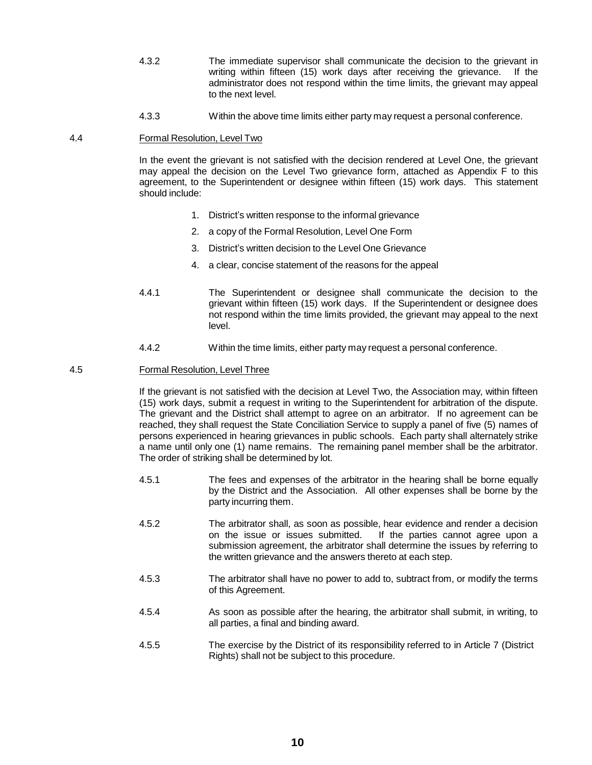- 4.3.2 The immediate supervisor shall communicate the decision to the grievant in writing within fifteen (15) work days after receiving the grievance. If the administrator does not respond within the time limits, the grievant may appeal to the next level.
- 4.3.3 Within the above time limits either party may request a personal conference.

## 4.4 Formal Resolution, Level Two

In the event the grievant is not satisfied with the decision rendered at Level One, the grievant may appeal the decision on the Level Two grievance form, attached as Appendix F to this agreement, to the Superintendent or designee within fifteen (15) work days. This statement should include:

- 1. District's written response to the informal grievance
- 2. a copy of the Formal Resolution, Level One Form
- 3. District's written decision to the Level One Grievance
- 4. a clear, concise statement of the reasons for the appeal
- 4.4.1 The Superintendent or designee shall communicate the decision to the grievant within fifteen (15) work days. If the Superintendent or designee does not respond within the time limits provided, the grievant may appeal to the next level.
- 4.4.2 Within the time limits, either party may request a personal conference.

# 4.5 Formal Resolution, Level Three

If the grievant is not satisfied with the decision at Level Two, the Association may, within fifteen (15) work days, submit a request in writing to the Superintendent for arbitration of the dispute. The grievant and the District shall attempt to agree on an arbitrator. If no agreement can be reached, they shall request the State Conciliation Service to supply a panel of five (5) names of persons experienced in hearing grievances in public schools. Each party shall alternately strike a name until only one (1) name remains. The remaining panel member shall be the arbitrator. The order of striking shall be determined by lot.

- 4.5.1 The fees and expenses of the arbitrator in the hearing shall be borne equally by the District and the Association. All other expenses shall be borne by the party incurring them.
- 4.5.2 The arbitrator shall, as soon as possible, hear evidence and render a decision on the issue or issues submitted. If the parties cannot agree upon a submission agreement, the arbitrator shall determine the issues by referring to the written grievance and the answers thereto at each step.
- 4.5.3 The arbitrator shall have no power to add to, subtract from, or modify the terms of this Agreement.
- 4.5.4 As soon as possible after the hearing, the arbitrator shall submit, in writing, to all parties, a final and binding award.
- 4.5.5 The exercise by the District of its responsibility referred to in Article 7 (District Rights) shall not be subject to this procedure.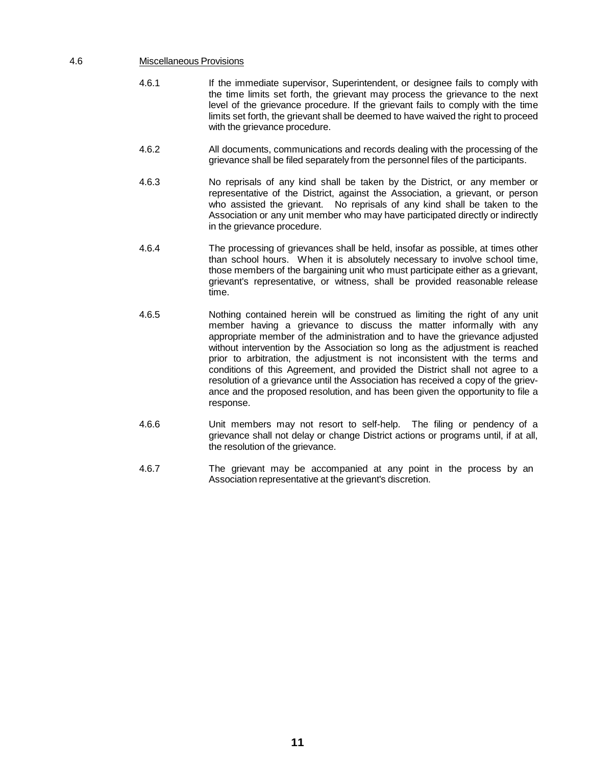### 4.6 Miscellaneous Provisions

- 4.6.1 If the immediate supervisor, Superintendent, or designee fails to comply with the time limits set forth, the grievant may process the grievance to the next level of the grievance procedure. If the grievant fails to comply with the time limits set forth, the grievant shall be deemed to have waived the right to proceed with the grievance procedure.
- 4.6.2 All documents, communications and records dealing with the processing of the grievance shall be filed separately from the personnel files of the participants.
- 4.6.3 No reprisals of any kind shall be taken by the District, or any member or representative of the District, against the Association, a grievant, or person who assisted the grievant. No reprisals of any kind shall be taken to the Association or any unit member who may have participated directly or indirectly in the grievance procedure.
- 4.6.4 The processing of grievances shall be held, insofar as possible, at times other than school hours. When it is absolutely necessary to involve school time, those members of the bargaining unit who must participate either as a grievant, grievant's representative, or witness, shall be provided reasonable release time.
- 4.6.5 Nothing contained herein will be construed as limiting the right of any unit member having a grievance to discuss the matter informally with any appropriate member of the administration and to have the grievance adjusted without intervention by the Association so long as the adjustment is reached prior to arbitration, the adjustment is not inconsistent with the terms and conditions of this Agreement, and provided the District shall not agree to a resolution of a grievance until the Association has received a copy of the grievance and the proposed resolution, and has been given the opportunity to file a response.
- 4.6.6 Unit members may not resort to self-help. The filing or pendency of a grievance shall not delay or change District actions or programs until, if at all, the resolution of the grievance.
- 4.6.7 The grievant may be accompanied at any point in the process by an Association representative at the grievant's discretion.